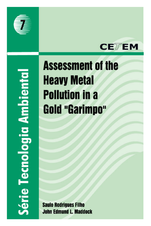



Série Tecnologia Ambiental

# **Assessment of the Heavy Metal Pollution in a Gold "Garimpo"**

**Saulo Rodrigues Filho John Edmund L. Maddock**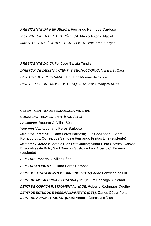*PRESIDENTE DA REPÚBLICA*: Fernando Henrique Cardoso *VICE-PRESIDENTE DA REPÚBLICA*: Marco Antonio Maciel *MINISTRO DA CIÊNCIA E TECNOLOGIA*: José Israel Vargas

*PRESIDENTE DO CNPq*: José Galizia Tundisi *DIRETOR DE DESENV. CIENT. E TECNOLÓGICO:* Marisa B. Cassim *DIRETOR DE PROGRAMAS*: Eduardo Moreira da Costa *DIRETOR DE UNIDADES DE PESQUISA*: José Ubyrajara Alves

#### **CETEM - CENTRO DE TECNOLOGIA MINERAL**

#### *CONSELHO TÉCNICO-CIENTÍFICO (CTC)*

*Presidente:* Roberto C. Villas Bôas

*Vice-presidente:* Juliano Peres Barbosa

*Membros Internos:* Juliano Peres Barbosa; Luiz Gonzaga S. Sobral; Ronaldo Luiz Correa dos Santos e Fernando Freitas Lins (suplente)

*Membros Externos:* Antonio Dias Leite Junior; Arthur Pinto Chaves; Octávio Elísio Alves de Brito; Saul Barisnik Suslick e Luiz Alberto C. Teixeira (suplente)

*DIRETOR*: Roberto C. Villas Bôas

*DIRETOR ADJUNTO*: Juliano Peres Barbosa

*DEPTº DE TRATAMENTO DE MINÉRIOS (DTM):* Adão Benvindo da Luz

*DEPTº DE METALURGIA EXTRATIVA (DME)*: Luiz Gonzaga S. Sobral

*DEPTº DE QUÍMICA INSTRUMENTAL (DQI):* Roberto Rodrigues Coelho

*DEPTº DE ESTUDOS E DESENVOLVIMENTO (DES):* Carlos César Peiter *DEPTº DE ADMINISTRAÇÃO (DAD):* Antônio Gonçalves Dias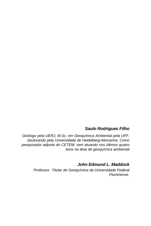## *Saulo Rodrigues Filho*

*Geólogo pela UERJ, M.Sc. em Geoquímica Ambiental pela UFF, doutorando pela Universidade de Heidelberg-Alemanha. Como pesquisador adjunto do CETEM, vem atuando nos últimos quatro anos na área de geoquímica ambiental*

*John Edmund L. Maddock*

*Professor Titular de Geoquímica da Universidade Federal Fluminense.*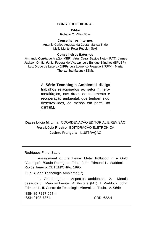#### **CONSELHO EDITORIAL**

**Editor** Roberto C. Villas Bôas

#### **Conselheiros Internos**

Antonio Carlos Augusto da Costa, Marisa B. de Mello Monte, Peter Rudolph Seidl

#### **Conselheiros Externos**

 Armando Corrêa de Araújo (MBR), Artur Cezar Bastos Neto (IPAT), James Jackson Griffith (Univ. Federal de Viçosa), Luis Enrique Sánchez (EPUSP), Luiz Drude de Lacerda (UFF), Luiz Lourenço Fregadolli (RPM), Maria Therezinha Martins (SBM).

> A **Série Tecnologia Ambiental** divulga trabalhos relacionados ao setor mínerometalúrgico, nas áreas de tratamento e recuperação ambiental, que tenham sido desenvolvidos, ao menos em parte, no CETEM.

### **Dayse Lúcia M. Lima** COORDENAÇÃO EDITORIAL E REVISÃO **Vera Lúcia Ribeiro** EDITORAÇÃO ELETRÔNICA **Jacinto Frangella** ILUSTRAÇÃO

Rodrigues Filho, Saulo

Assessment of the Heavy Metal Pollution in a Gold "Garimpo". /Saulo Rodrigues Filho; John Edmund L. Maddock. - Rio de Janeiro: CETEM/CNPq, 1995.

32p.- (Série Tecnologia Ambiental; 7)

1. Garimpagem - Aspectos ambientais. 2. Metais pesados 3. Meio ambiente. 4. Poconé (MT). I. Maddock, John Edmund L. II. Centro de Tecnologia Mineral. III. Título. IV. Série

ISBN 85-7227-057-4 ISSN 0103-7374 CDD. 622.4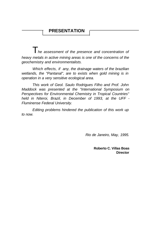# **PRESENTATION**

T*he assessment of the presence and concentration of heavy metals in active mining areas is one of the concerns of the geochemistry and environmentalists.*

*Which effects, if any, the drainage waters of the brazilian wetlands, the "Pantanal", are to exists when gold mining is in operation in a very sensitive ecological area.*

*This work of Geol. Saulo Rodrigues Filho and Prof. John Maddock was presented at the "International Symposium on Perspectives for Environmental Chemistry in Tropical Countries" held in Niteroi, Brazil, in December of 1993, at the UFF - Fluminense Federal University.*

*Editing problems hindered the publication of this work up to now.* 

*Rio de Janeiro, May, 1995.*

**Roberto C. Villas Boas Director**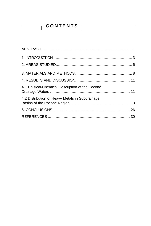# CONTENTS |

 $\overline{\mathsf{T}}$ 

| 4.1 Phisical-Chemical Description of the Poconé |  |
|-------------------------------------------------|--|
| 4.2 Distribution of Heavy Metals in Subdrainage |  |
|                                                 |  |
|                                                 |  |
|                                                 |  |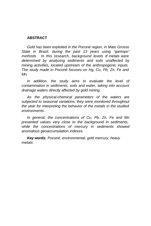#### **ABSTRACT**

*Gold has been exploited in the Poconé region, in Mato Grosso State in Brazil, during the past 13 years using "garimpo" methods. In this research, background levels of metals were determined by analyzing sediments and soils unaffected by mining activities, located upstream of the anthropogenic inputs. The study made in Poconé focuses on Hg, Cu, Pb, Zn, Fe and Mn.*

*In addition, the study aims to evaluate the level of contamination in sediments, soils and water, taking into account drainage waters directly affected by gold mining.*

*As the physical-chemical parameters of the waters are subjected to seasonal variations, they were monitored throughout the year for interpreting the behavior of the metals in the studied environments.*

*In general, the concentrations of Cu, Pb, Zn, Fe and Mn presented values very close to the background in sediments, while the concentrations of mercury in sediments showed anomalous geoaccumulation indexes.*

*Key words: Poconé, environmental, gold mercury, heavy metals*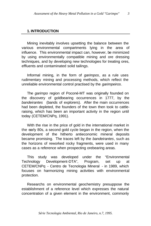#### **1. INTRODUCTION**

Mining inevitably involves upsetting the balance between the various environmental compartments lying in the area of influence. This environmental impact can, however, be minimized by using environmentally compatible mining and ore dressing techniques, and by developing new technologies for treating ores, effluents and contaminated solid tailings.

Informal mining, in the form of *garimpos*, as a rule uses rudimentary mining and processing methods, which reflect the unreliable environmental control practised by the *garimpeiros*.

The *garimpo* region of Poconé-MT was originally founded on the discovery of goldbearing occurrences in 1777, by the *bandeirantes* (bands of explorers). After the main occurrences had been depleted, the founders of the town then took to cattleraising, which has been an important activity in the region until today (CETEM/CNPq, 1991).

With the rise in the price of gold in the international market in the early 80s, a second gold cycle began in the region, when the development of the hitherto antieconomic mineral deposits became promising. The traces left by the *bandeirantes*, such as the horizons of reworked rocky fragments, were used in many cases as a reference when prospecting orebearing areas.

This study was developed under the "Environmental Technology Development-DTA", Program, set up at CETEM/CNPq - Centro de Tecnologia Mineral - in 1989, which focuses on harmonizing mining activities with environmental protection.

Researchs on environmental geochemistry presuppose the establishment of a reference level which expresses the natural concentration of a given element in the environment, commonly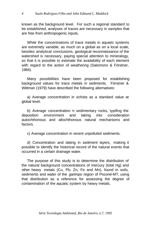known as the background level. For such a regional standard to be established, analyses of traces are necessary in samples that are free from anthropogenic inputs.

While the concentrations of trace metals in aquatic systems are extremely variable, as much on a global as on a local scale, besides analytical conclusions, geological reconnaissance of the watershed is necessary, paying special attention to mineralogy, so that it is possible to estimate the availability of each element with regard to the action of weathering (Salomons & Förstner, 1984).

Many possibilities have been proposed for establishing background values for trace metals in sediments. Förstner & Wittman (1979) have described the following alternatives:

a) Average concentration in schists as a standard value at global level.

b) Average concentration in sedimentary rocks, typifing the deposition environment and taking into consideration autochthonous and allochthonous natural mechanisms and factors.

c) Average concentration in recent unpolluted sediments.

d) Concentration and dating in sediment layers, making it possible to identify the historical record of the natural events that occurred in a certain drainage water.

The purpose of this study is to determine the distribution of the natural background concentrations of mercury (total Hg) and other heavy metals (Cu, Pb, Zn, Fe and Mn), found in soils, sediments and water of the *garimpo* region of Poconé-MT, using that distribution as a reference for assessing the degree of contamination of the aquatic system by heavy metals.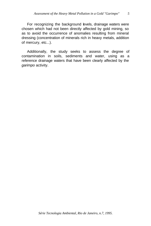For recognizing the background levels, drainage waters were chosen which had not been directly affected by gold mining, so as to avoid the occurrence of anomalies resulting from mineral dressing (concentration of minerals rich in heavy metals, addition of mercury, etc...).

Additionally, the study seeks to assess the degree of contamination in soils, sediments and water, using as a reference drainage waters that have been clearly affected by the *garimpo* activity.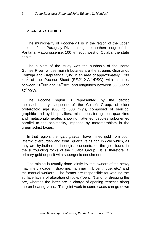#### **2. AREAS STUDIED**

The municipality of Poconé-MT is in the region of the upper stretch of the Paraguay River, along the northern edge of the Pantanal Matogrossense, 100 km southwest of Cuiabá, the state capital.

The subject of the study was the subbasin of the Bento Gomes River, whose main tributaries are the streams Guanandi, Formiga and Piraputanga, lying in an area of approximately 1700 km2 of the Poconé Sheet (SE.21-X-A-1/DSG), with latitudes between 16°00' and 16°30'S and longitudes between 56°30'and 57°00'W.

The Poconé region is represented by the detritic metasedimentary sequence of the Cuiabá Group, of older proterozoic age (800 to 600 m.y.), composed of sericitic, graphitic and pyritic phyllites, micaceous ferruginous quartzites and metaconglomerates showing flattened pebbles suboriented parallel to the schistosity, imposed by metamorphism in the green schist facies.

In that region, the *garimpeiros* have mined gold from both lateritic overburden and from quartz veins rich in gold which, as they are hydrothermal in origin, concentrated the gold found in the surrounding rocks of the Cuiabá Group. It is, therefore, a primary gold deposit with supergenic enrichment.

The mining is usually done jointly by the owners of the heavy machinery (loader, drag-line, hammer mill, centrifuge, etc.) and the manual workers. The former are responsible for working the surface layers of alteration of rocks ("bench") and for dressing the ore, whereas the latter are in charge of opening trenches along the orebearing veins. This joint work in some cases can go down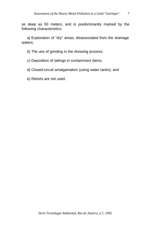as deep as 50 meters, and is predominantly marked by the following characteristics:

a) Exploration of "dry" areas, disassociated from the drainage waters;

b) The use of grinding in the dressing process;

c) Deposition of tailings in containment dams;

d) Closed-circuit amalgamation (using water tanks); and

e) Retorts are not used.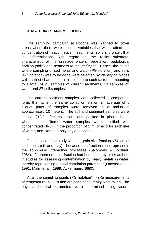#### **3. MATERIALS AND METHODS**

The sampling campaign at Poconé was planned to cover areas where there were different variables that would affect the concentration of heavy metals in sediments, soils and water, that is, differentiations with regard to the rocky substrate, characteristic of the drainage waters, vegetation, pedological horizon (soils) and nearness to the *garimpos*. Hence, the points where sampling of sediments and water (PG notation) and soils (GB notation) was to be done were selected by identifying places with distinct characteristics in relation to such factors, amounting to a total of 21 samples of current sediments, 13 samples of water and 27 soil samples.

The current sediment samples were collected in compound form, that is, at the same collection station an average of 5 aliquot parts of samples were removed in a radius of approximately 10 meters. The soil and sediment samples were cooled (0°C) after collection, and packed in plastic bags, whereas the filtered water samples were acidified with concentrated  $HNO<sub>3</sub>$ , in the proportion of 2 ml of acid for each liter of water, and stored in polyethylene bottles.

The subject of the study was the grain size fraction <74 μm of sediments (silt and clay), because this fraction most represents the solid-liquid interaction processes (Salomons & Förstner, 1984). Furthermore, that fraction had been used by other authors in studies for assessing contamination by heavy metals in water, thereby representing a good correlation parameter (Lacerda et al., 1991; Malm et al., 1989; Ackermann, 1980).

At all the sampling points (PG notation) *in situ* measurements of temperature, pH, Eh and drainage conductivity were taken. The physical-chemical parameters were determined using special

*Série Tecnologia Ambiental, Rio de Janeiro, n.7, 1995*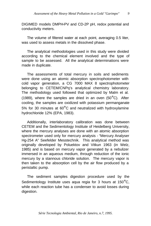DIGIMED models DMPH-PV and CD-2P pH, redox potential and conductivity meters.

The volume of filtered water at each point, averaging 0.5 liter, was used to assess metals in the dissolved phase.

The analytical methodologies used in this study were divided according to the chemical element involved and the type of sample to be assessed. All the analytical determinations were made in duplicate.

The assessments of total mercury in soils and sediments were done using an atomic absorption spectrophotometer with cold vapor generation, a CG 7000 MAX 8 spectrophotometer belonging to CETEM/CNPq's analytical chemistry laboratory. The methodology used followed that optimized by Malm et al. (1989), where the samples are dried in an oven  $(50^{\circ}$ C). After cooling, the samples are oxidized with potassium permanganate 5% for 30 minutes at 60°C and neutralized with hydroxylamine hydrochloride 12% (EPA, 1983).

Additionally, interlaboratory calibration was done between CETEM and the Sedimentology Institute of Heidelberg University, where the mercury analyses are done with an atomic absorption spectrometer used only for mercury analysis - "Mercury Analyser Hg-254 A" Seefelder Messtechnik. This analytical method was originally developed by Poluektov and Vitkun 1963 (in Welz, 1985) and is based on mercury vapor generated by a nebulizer immersed in an aqueous medium, through reduction of the ionic mercury by a stannous chloride solution. The mercury vapor is then taken to the absorption cell by the air flow produced by a peristaltic pump.

The sediment samples digestion procedure used by the Sedimentology Institute uses aqua regia for 3 hours at 150°C, while each reaction tube has a condenser to avoid losses during digestion.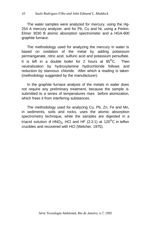The water samples were analyzed for mercury, using the Hg-254 A mercury analyzer, and for Pb, Cu and Ni, using a Perkin-Elmer 3030 B atomic absorption spectrometer and a HGA-600 graphite furnace.

The methodology used for analyzing the mercury in water is based on oxidation of the metal by adding potassium permanganate, nitric acid, sulfuric acid and potassium persulfate. It is left in a double boiler for 2 hours at 95°C. Then neutralization by hydroxylamine hydrochloride follows and reduction by stannous chloride. After which a reading is taken (methodology suggested by the manufacturer).

In the graphite furnace analysis of the metals in water does not require any preliminary treatment, because the sample is submitted to a series of temperatures rises before atomization, which frees it from interfering substances.

The methodology used for analyzing Cu, Pb, Zn, Fe and Mn, in sediments, soils and rocks, uses the atomic absorption spectrometry technique, while the samples are digested in a triacid solution of HNO<sub>3</sub>, HCl and HF (2:2:1) at 120 $\mathrm{^{\circ}C}$  in teflon crucibles and recovered with HCl (Welcher, 1975).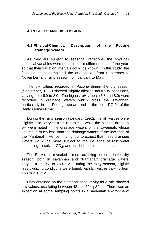#### **4. RESULTS AND DISCUSSION**

#### **4.1 Phisical-Chemical Description of the Poconé Drainage Waters**

As they are subject to seasonal variations, the physicalchemical variables were determined at different times of the year, so that their variation intervals could be known. In this study, the field stages contemplated the dry season from September to November, and rainy season from January to May.

The pH values recorded in Poconé during the dry season (September, 1992) showed slightly alkaline neutrality conditions, varying from 6.9 to 8.0. The highest pH values (7.8 and 8.0) were recorded in drainage waters which cross the savannah, particularly in the Formiga stream and at the point PG-04 of the Bento Gomes River.

During the rainy season (January, 1992), the pH values were slightly acid, varying from 6.1 to 6.9, while the biggest drops in pH were noted in the drainage waters of the savannah, whose volume is much less than the drainage waters of the lowlands of the "Pantanal". Hence, it is rightful to expect that these drainage waters would be more subject to the influence of rain water containing dissolved  $CO<sub>2</sub>$ , and leached humic substances.

The Eh values revealed a more oxidizing potential in the dry season, both in savannah and "Pantanal" drainage waters, varying from 193 to 260 mV. During the rainy season, slightly less oxidizing conditions were found, with Eh values varying from 163 to 210 mV.

Data obtained on the electrical conductivity as a rule showed low values, oscillating between 48 and 124 μS/cm. There was an exception at some sampling points in a savannah environment: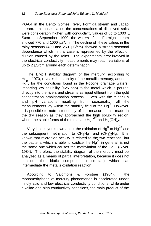PG-04 in the Bento Gomes River, Formiga stream and Japão stream. In those places the concentrations of dissolved salts were considerably higher, with conductivity values of up to 1000 μ S/cm. In September, 1990, the waters of the Formiga stream showed 770 and 1000 μS/cm. The decline of these values in the rainy seasons (400 and 250 μS/cm) showed a strong seasonal dependence which in this case is represented by the effect of dilution caused by the rains. The experimental error involved in the electrical conductivity measurements may reach variations of up to 2 μS/cm around each determination.

The Eh-pH stability diagram of the mercury, according to Hem, 1970, reveals the stability of the metallic mercury, aqueous  $Hg<sub>0</sub>$ , for the conditions found in the Poconé drainage waters, imparting low solubility (<25 ppb) to the metal which is poured directly into the rivers and streams as liquid effluent from the gold concentration amalgamation process. Even with the minor Eh and pH variations resulting from seasonality, all the measurements lay within the stability field of the Hg<sup>0</sup>. However, it is possible to note a tendency of the measurements made in the dry season as they approached the high solubility region, where the stable forms of the metal are  $Hg_2^2$  and  $Hg(OH)<sub>2</sub>$ .

Very little is yet known about the oxidation of Hg<sup>0</sup> to Hg<sup>2+</sup> and the subsequent methylation to  $CH_3Hg^+$  and  $(CH_3)_2Hg$ . It is known that microbian activity is related to the two reactions, but the bacteria which is able to oxidize the Hg $\,$ , in general, is not the same one which causes the methylation of the  $Hq^{2+}$  (Silver, 1984). Therefore, the stability diagram of the mercury must be analyzed as a means of partial interpretation, because it does not consider the biotic component (microbian) which can intermediate the metal's oxidation reaction.

According to Salomons & Förstner (1984), the monomethylation of mercury phenomenon is accelerated under mildly acid and low electrical conductivity conditions, while under alkaline and high conductivity conditions, the main product of the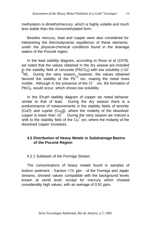methylation is dimethylmercury, which is highly volatile and much less stable than the monomethylated form.

Besides mercury, lead and copper were also considered for interpreting the thermodynamic equilibrium of these elements, under the physical-chemical conditions found in the drainage waters of the Poconé region.

In the lead stability diagram, according to Rose et al (1979), we noted that the values obtained in the dry season are included in the stability field of cerussite (PbCO<sub>3</sub>) with low solubility  $(<10^{-10}$  $6^{\circ}$  and diamage in the rainy season, however, the values obtained  $6^{\circ}$ . favored the stability of the  $Pb<sup>2</sup>$  ion, making the metal more mobile. Although in the presence of the Cl - ion, the formation of  $PbCl<sub>2</sub>$  would occur, which shows low solubility.

In the Eh-pH stability diagram of copper we noted behavior similar to that of lead. During the dry season there is a predominance of measurements in the stability fields of tenorite (CuO) and cuprite (Cu<sub>2</sub>0), where the molarity of the dissolved copper is lower than  $10^{-7}$ . During the rainy season we noticed a shift to the stability field of the Cu<sup>+</sup> ion, where the molarity of the dissolved copper increases.

#### **4.2 Distribution of Heavy Metals in Subdrainage Basins of the Poconé Region**

4.2.1 Subbasin of the Formiga Stream

The concentrations of heavy metals found in samples of bottom sediment - fraction <74 μm - of the Formiga and Japão streams, showed values compatible with the background levels known at world level, except for mercury which showed considerably high values, with an average of 0.91 ppm.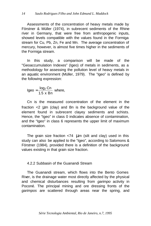Assessments of the concentration of heavy metals made by Förstner & Müller (1974), in subrecent sediments of the Rhine river in Germany, that were free from anthropogenic inputs, showed levels compatible with the values found in the Formiga stream for Cu, Pb, Zn, Fe and Mn. The average concentration of mercury, however, is almost five times higher in the sediments of the Formiga stream.

In this study, a comparison will be made of the "Geoaccumulation Indexes" (Igeo) of metals in sediments, as a methodology for assessing the pollution level of heavy metals in an aquatic environment (Müller, 1979). The "Igeo" is defined by the following expression:

$$
Igeo = \frac{log_2 Cn}{1.5 \times Bn}
$$
 where,

Cn is the measured concentration of the element in the fraction <2 μm (clay) and Bn is the background value of the element found in subrecent clayey sediments and schists. Hence, the "laeo" in class 0 indicates absence of contamination, and the "Igeo" in class 6 represents the upper limit of maximum contamination.

The grain size fraction  $\langle 74 \rangle$  Lum (silt and clay) used in this study can also be applied to the "Igeo", according to Salomons & Förstner (1984), provided there is a definition of the background values existing in that grain size fraction.

#### 4.2.2 Subbasin of the Guanandi Stream

The Guanandi stream, which flows into the Bento Gomes River, is the drainage water most directly affected by the physical and chemical disturbances resulting from *garimpo* activity in Poconé. The principal mining and ore dressing fronts of the *garimpos* are scattered through areas near the spring, and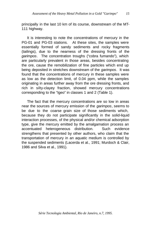principally in the last 10 km of its course, downstream of the MT-111 highway.

It is interesting to note the concentrations of mercury in the PG-01 and PG-03 stations. At these sites, the samples were essentially formed of sandy sediments and rocky fragments (tailings), due to the nearness of the dressing fronts of the *garimpos*. The concentration troughs ("cobra fumando"), which are particularly prevalent in those areas, besides concentrating the ore, cause the remobilization of fine particles which end up being deposited in stretches downstream of the *garimpos*. It was found that the concentrations of mercury in these samples were as low as the detection limit, of 0.04 ppm, while the samples originating in areas further away from the ore dressing fronts, and rich in silty-clayey fraction, showed mercury concentrations corresponding to the "Igeo" in classes 1 and 2 (Table 1).

The fact that the mercury concentrations are so low in areas near the sources of mercury emission of the *garimpos*, seems to be due to the coarse grain size of those sediments which, because they do not participate significantly in the solid-liquid interaction processes, of the physical and/or chemical adsorption type, give the mercury emitted by the amalgamation process an accentuated heterogeneous distribution. Such evidence strengthens that presented by other authors, who claim that the transportation of mercury in an aquatic medium is controlled by the suspended sediments (Lacerda et al., 1991; Murdoch & Clair, 1986 and Silva et al., 1991).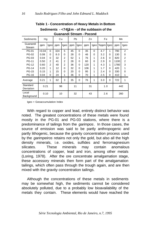| Guanandi Stream - Poconé     |               |                            |            |                                  |          |                      |            |                      |            |                      |             |                                  |  |
|------------------------------|---------------|----------------------------|------------|----------------------------------|----------|----------------------|------------|----------------------|------------|----------------------|-------------|----------------------------------|--|
| Sediments                    | Hg            |                            |            | Cu                               |          | Pb                   |            | Zn                   |            | Fe                   |             | Mn                               |  |
| Guanandi<br>Stream           | ppm           | Igeo                       | ppm        | lgeo                             | ppm      | lgeo                 | ppm        | lgeo                 | %ppm       | Igeo                 | ppm         | Igeo                             |  |
| PG-01<br><b>PG-02</b>        | <0.04<br>0.08 | $\Omega$<br>$\Omega$       | 324<br>8.0 | 5<br>$\Omega$                    | 45<br>28 | $\Omega$<br>$\Omega$ | 35<br>46   | $\Omega$<br>$\Omega$ | 4.7<br>3.2 | 1<br>$\Omega$        | 790<br>130  | $\overline{2}$<br>$\Omega$       |  |
| PG-03<br><b>PG-11</b>        | 0.04<br>0.50  | $\Omega$<br>$\overline{2}$ | 32<br>41   | $\overline{2}$<br>$\overline{2}$ | 52<br>28 | 1<br>$\Omega$        | 76<br>60   | 1<br>$\Omega$        | 2.6<br>2.9 | $\Omega$<br>$\Omega$ | 820<br>1100 | $\overline{2}$<br>$\overline{2}$ |  |
| <b>PG-12</b><br><b>PG-14</b> | 0.60<br>0.20  | $\overline{2}$<br>1        | 40<br>12   | $\overline{2}$<br>$\Omega$       | 36<br>32 | $\Omega$<br>$\Omega$ | 120<br>106 | 1<br>1               | 4.3<br>1.7 | 1<br>$\Omega$        | 1780<br>420 | 3<br>1                           |  |
| <b>PG-15</b><br><b>PG-16</b> | 0.15<br>0.04  | 1<br>0                     | 15<br>24   | $\Omega$<br>1                    | 20<br>36 | $\Omega$<br>0        | 95<br>70   | 1<br>1               | 2.4<br>2.5 | $\Omega$<br>$\Omega$ | 330<br>410  | $\Omega$<br>1                    |  |
| Average                      | 0.21          | 1                          | 62         | 3                                | 35       | 0                    | 76         | 1                    | 3.0        | $\Omega$             | 722         | 1                                |  |
| Standard<br>Deviation        | 0.21          |                            | 98         |                                  | 11       |                      | 31         |                      | 1.0        |                      | 442         |                                  |  |
| Local<br>Background          | 0.10          |                            | 10         |                                  | 32       |                      | 43         |                      | 2.6        |                      | 260         |                                  |  |

**Table 1 - Concentration of Heavy Metals in Bottom Sediments - <74m m - of the subbasin of the** 

Igeo = Geoaccumulation Index

With regard to copper and lead, entirely distinct behavior was noted. The greatest concentrations of these metals were found mostly in the PG-01 and PG-03 stations, where there is a predominance of tailings from the *garimpos*. In those cases, the source of emission was said to be partly anthropogenic and partly lithogenic, because the gravity concentration process used by the *garimpeiros* retains not only the gold, but also all the high density minerals, i.e. oxides, sulfides and ferromagnesium silicates. These minerals may contain anomalous concentrations of copper, lead and iron, among other metals (Loring, 1978). After the ore concentrate amalgamation stage, these accessory minerals then form part of the amalgamation tailings, which often pass through the trough again, and are then mixed with the gravity concentration tailings.

Although the concentrations of these metals in sediments may be somewhat high, the sediments cannot be considered absolutely polluted, due to a probably low bioavailability of the metals they contain. These elements would have reached the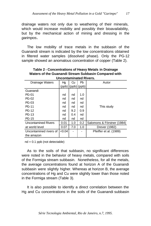drainage waters not only due to weathering of their minerals, which would increase mobility and possibly their bioavailability, but by the mechanical action of mining and dressing in the *garimpos.*

The low mobility of trace metals in the subbasin of the Guanandi stream is indicated by the low concentrations obtained in filtered water samples (dissolved phase). Only the PG-12 sample showed an anomalous concentration of copper (Table 2).

| uncontaminated Rivers.     |        |     |                     |                            |  |  |  |  |  |
|----------------------------|--------|-----|---------------------|----------------------------|--|--|--|--|--|
| Drainage Waters            | Hg     | Cu  | Pb                  | Autor                      |  |  |  |  |  |
|                            |        |     | $(ppb)$ (ppb) (ppb) |                            |  |  |  |  |  |
| Guanandi                   |        |     |                     |                            |  |  |  |  |  |
| PG-01                      | nd     | nd  | 1.0                 |                            |  |  |  |  |  |
| <b>PG-02</b>               | nd     | nd  | nd                  |                            |  |  |  |  |  |
| PG-03                      | nd     | nd  | nd                  |                            |  |  |  |  |  |
| PG-11                      | nd     | nd  | nd                  | This study                 |  |  |  |  |  |
| <b>PG-12</b>               | nd     | 9.2 | 0.9                 |                            |  |  |  |  |  |
| <b>PG-13</b>               | nd     | 0.4 | nd                  |                            |  |  |  |  |  |
| <b>PG-15</b>               | nd     | nd  | nd                  |                            |  |  |  |  |  |
| <b>Uncontamined Rivers</b> | 0.01   | 1.0 | 0.2                 | Salomons & Förstner (1984) |  |  |  |  |  |
| at world level             | 0.07   | 7.0 | 1.0                 | Drever (1982)              |  |  |  |  |  |
| Uncontamined rivers of     | < 0.04 |     |                     | Pfeiffer et al. (1989)     |  |  |  |  |  |
| the amazon                 |        |     |                     |                            |  |  |  |  |  |

**Table 2 - Concentrations of Heavy Metals in Drainage Waters of the Guanandi Stream Subbasin Compared with Uncontaminated Rivers.**

 $nd = 0.1$  ppb (not detectable)

As to the soils of that subbasin, no significant differences were noted in the behavior of heavy metals, compared with soils of the Formiga stream subbasin. Nonetheless, for all the metals, the average concentrations found at horizon A of the Guanandi subbasin were slightly higher. Whereas at horizon B, the average concentrations of Hg and Cu were slightly lower than those noted in the Formiga stream (Table 3).

It is also possible to identify a direct correlation between the Hg and Cu concentrations in the soils of the Guanandi subbasin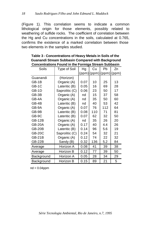(Figure 1). This correlation seems to indicate a common lithological origin for those elements, possibly related to weathering of sulfide rocks. The coefficient of correlation between the Hg and Cu concentrations in the soils, calculated at 0.765, confirms the existence of a marked correlation between those two elements in the samples studied.

|               | ono : oana in aio : ormiga : |      |     |     |                       |
|---------------|------------------------------|------|-----|-----|-----------------------|
| Soils         | Type of Soil                 | Hg   | Cu  | Pb  | Zn                    |
|               |                              |      |     |     | (ppm)(ppm)[ppm)](ppm) |
| Guanandi      | (Horizon)                    |      |     |     |                       |
| GB-1B         | Organic (A)                  | 0.07 | 10  | 25  | 13                    |
| $GB-1C$       | Lateritic (B)                | 0.05 | 16  | 69  | 28                    |
| GB-1D         | Saprolitic (C)               | 0.06 | 23  | 50  | 17                    |
| GB-3B         | Organic (A)                  | nd   | 15  | 37  | 58                    |
| GB-4A         | Organic (A)                  | nd   | 35  | 50  | 60                    |
| GB-4B         | Lateritic (B)                | nd   | 40  | 53  | 42                    |
| GB-9A         | Organic (A)                  | 0.07 | 76  | 112 | 64                    |
| GB-9B         | Lateritic (B)                | 0.08 | 110 | 71  | 81                    |
| GB-9C         | Lateritic (B)                | 0.07 | 62  | 32  | 50                    |
| <b>GB-12B</b> | Organic (A)                  | nd   | 35  | 26  | 20                    |
| <b>GB-20A</b> | Organic (A)                  | 0.17 | 40  | 4.4 | 26                    |
| <b>GB-20B</b> | Lateritic (B)                | 0.14 | 96  | 5.6 | 19                    |
| <b>GB-20C</b> | Saprolitic (C)               | 0.24 | 54  | 32  | 21                    |
| <b>GB-21B</b> | Organic (A)                  | 0.12 | 74  | 22  | 32                    |
| <b>GB-22B</b> | Sandy (B)                    | 0.32 | 136 | 5.2 | 84                    |
| Average       | Horizon A                    | 0.08 | 41  | 39  | 38                    |
| Average       | Horizon B                    | 0.12 | 77  | 39  | 50                    |
| Background    | Horizon A                    | 0.05 | 28  | 34  | 29                    |
| Background    | Horizon B                    | 0.15 | 89  | 21  | 5                     |

**Table 3 - Concentrations of Heavy Metals in Soils of the Guanandi Stream Subbasin Compared with Background Concentrations Found in the Formiga Stream Subbasin**

nd < 0.04ppm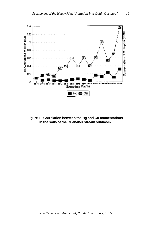

**Figure 1 - Correlation between the Hg and Cu concentations in the soils of the Guanandi stream subbasin.**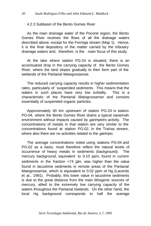#### 4.2.3 Subbasin of the Bento Gomes River

As the main drainage water of the Poconé region, the Bento Gomes River receives the flows of all the drainage waters described above, except for the Formiga stream (Map 1). Hence, it is the final depository of the matter carried by the tributary drainage waters and, therefore, is the main focus of this study.

At the lake where station PG-24 is situated, there is an accentuated drop in the carrying capacity of the Bento Gomes River, where the land slopes gradually to then form part of the wetlands of the Pantanal Matogrossense.

The reduced carrying capacity results in higher sedimentation rates, particularly of suspended sediments. This means that the waters in such places have very low turbidity. This is a characteristic of the Pantanal Matogrossense and consists essentially of suspended organic particles.

Approximately 40 km upstream of station PG-24 is station PG-04, where the Bento Gomes River drains a typical savannah environment without impacts caused by *garimpeiro* activity. The concentrations of metals in that station are very similar to the concentrations found at station PG-02, in the Traíras stream, where also there are no activities related to the *garimpo.*

The average concentrations noted using stations PG-04 and PG-02 as a basis, must therefore reflect the natural levels of occurrence of heavy metals in sediments (background). The mercury background, equivalent to 0.10 ppm, found in current sediments in the fraction <74 μm, was higher than the value found in lacustrine sediments in remote areas of the Pantanal Matogrossense, which is equivalent to 0.02 ppm of Hg (Lacerda et al., 1991). Probably, this lower value in lacustrine sediments is due to the great distance from the main lithogenic sources of mercury, allied to the extremely low carrying capacity of the waters throughout the Pantanal lowlands. On the other hand, the local Hg background corresponds to half the average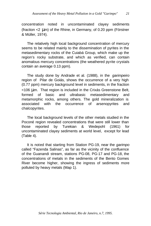concentration noted in uncontaminated clayey sediments (fraction <2 μm) of the Rhine, in Germany, of 0.20 ppm (Förstner & Müller, 1974).

The relatively high local background concentration of mercury seems to be related mainly to the dissemination of pyrites in the metasedimentary rocks of the Cuiabá Group, which make up the region's rocky substrate, and which as verified, can contain anomalous mercury concentrations (the weathered pyrite crystals contain an average 0.13 ppm).

The study done by Andrade et al. (1988), in the *garimpeiro*  region of Pilar de Goiás, shows the occurrence of a very high (0.77 ppm) mercury background level in sediments, in the fraction <106 μm. That region is included in the Crixás Greenstone Belt, formed of basic and ultrabasic metasedimentary and metamorphic rocks, among others. The gold mineralization is associated with the occurrence of arsenopyrites and chalcopyrites.

The local background levels of the other metals studied in the Poconé region revealed concentrations that were still lower than those reported by Turekian & Wedepohl (1961) for uncontaminated clayey sediments at world level, except for lead (Table 4).

It is noted that starting from Station PG-19, near the *garimpo* called "Fazenda Salinas", as far as the vicinity of the confluence of the Guanandi stream, stations PG-08, PG-17 and PG-18, the concentrations of metals in the sediments of the Bento Gomes River become higher, showing the ingress of sediments more polluted by heavy metals (Map 1).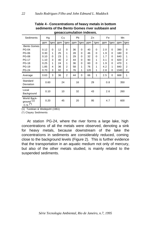| gcoaccamaranon macves.                             |          |                |     |                |     |          |     |          |     |          |      |                |     |  |
|----------------------------------------------------|----------|----------------|-----|----------------|-----|----------|-----|----------|-----|----------|------|----------------|-----|--|
| Sediments                                          | Hg<br>Cu |                | Pb  |                | Zn  |          | Fe  |          | Mn  |          |      |                |     |  |
|                                                    | ppm      | Igeo           | ppm | Igeo           | ppm | Igeo     | ppm | Igeo     | ppm | Igeo     | ppm  | Igeo           |     |  |
| <b>Bento Gomes</b>                                 |          |                |     |                |     |          |     |          |     |          |      |                |     |  |
| <b>PG-04</b>                                       | 0.12     | $\Omega$       | 12  | $\Omega$       | 36  | $\Omega$ | 40  | $\Omega$ | 2.0 | $\Omega$ | 390  | $\Omega$       |     |  |
| <b>PG-06</b>                                       | 0.30     | 1              | 25  | 1              | 28  | $\Omega$ | 46  | $\Omega$ | 1.9 | $\Omega$ | 180  | $\Omega$       |     |  |
| <b>PG-08</b>                                       | 0.10     | $\Omega$       | 23  | 1              | 29  | $\Omega$ | 32  | $\Omega$ | 1.7 | $\Omega$ | 640  | 1              |     |  |
| <b>PG-17</b>                                       | 1.10     | 3              | 40  | $\overline{2}$ | 44  | $\Omega$ | 90  | 1        | 3.1 | $\Omega$ | 820  | 2              |     |  |
| <b>PG-18</b>                                       | 0.25     | 1              | 24  | 1              | 36  | $\Omega$ | 60  | $\Omega$ | 1.9 | $\Omega$ | 470  | 1              |     |  |
| <b>PG-19</b>                                       | 1.85     | $\overline{4}$ | 36  | $\overline{2}$ | 58  | 1        | 76  | 1        | 4.2 | 1        | 840  | $\overline{2}$ |     |  |
| <b>PG-24</b>                                       | 0.70     | 3              | 92  | 3              | 76  | 1        | 120 | 1        | 2.8 | 0        | 1340 | $\overline{2}$ |     |  |
| Average                                            | 0.63     | 3              | 36  | $\overline{2}$ | 44  | $\Omega$ | 66  | 1        | 2.5 | 0        | 668  | 1              |     |  |
| Standard<br>Deviation                              | 0.60     |                | 24  |                | 16  |          |     | 29       | 0.8 |          | 350  |                |     |  |
| Local<br>Background                                | 0.10     |                | 10  |                | 32  |          | 43  |          | 2.6 |          | 260  |                |     |  |
| World Back-<br>ground (1)<br>$C.S.$ <sup>(*)</sup> | 0.20     |                | 45  |                |     |          | 20  |          |     | 95       | 4.7  |                | 600 |  |

**Table 4 - Concentrations of heavy metals in bottom sediments of the Bento Gomes river subbasin and geoaccumulation indexes.**

(1) Turekian & Wedepohl (1961)

(\*) Clayey Sediments

At station PG-24, where the river forms a large lake, high concentrations of all the metals were observed, denoting a sink for heavy metals, because downstream of the lake the concentrations in sediments are considerably reduced, coming close to the background levels (Figure 2). This is further evidence that the transportation in an aquatic medium not only of mercury, but also of the other metals studied, is mainly related to the suspended sediments.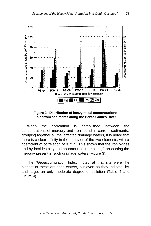

#### **Figure 2 - Distribution of heavy metal concentrations in bottom sediments along the Bento Gomes River**

When the correlation is established between the concentrations of mercury and iron found in current sediments, grouping together all the affected drainage waters, it is noted that there is a clear affinity in the behavior of the two elements, with a coefficient of correlation of 0.717. This shows that the iron oxides and hydroxides play an important role in retaining/transporting the mercury present in such drainage waters (Figure 3).

The "Geoaccumulation Index" noted at that site were the highest of these drainage waters, but even so they indicate, by and large, an only moderate degree of pollution (Table 4 and Figure 4).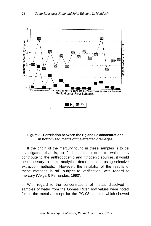

#### **Figure 3 - Correlation between the Hg and Fe concentrations in bottom sediments of the affected drainages**

If the origin of the mercury found in these samples is to be investigated, that is, to find out the extent to which they contribute to the anthropogenic and lithogenic sources, it would be necessary to make analytical determinations using selective extraction methods. However, the reliability of the results of these methods is still subject to verification, with regard to mercury (Veiga & Fernandes, 1990).

With regard to the concentrations of metals dissolved in samples of water from the Gomes River, low values were noted for all the metals, except for the PG-08 samples which showed

*Série Tecnologia Ambiental, Rio de Janeiro, n.7, 1995*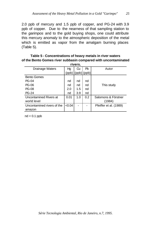2.0 ppb of mercury and 1.5 ppb of copper, and PG-24 with 3.9 ppb of copper. Due to the nearness of that sampling station to the *garimpos* and to the gold buying shops, one could attribute this mercury anomaly to the atmospheric deposition of the metal which is emitted as vapor from the amalgam burning places (Table 5).

**Table 5 - Concentrations of heavy metals in river waters of the Bento Gomes river subbasin compared with uncontaminated** 

| rivers.                    |        |     |                 |                        |  |  |  |  |
|----------------------------|--------|-----|-----------------|------------------------|--|--|--|--|
| Drainage Waters            | Hg     | Ωu  | Pb              | Autor                  |  |  |  |  |
|                            | (ppb)  |     | $(ppb)$ $(ppb)$ |                        |  |  |  |  |
| <b>Bento Gomes</b>         |        |     |                 |                        |  |  |  |  |
| <b>PG-04</b>               | nd     | nd  | nd              |                        |  |  |  |  |
| PG-06                      | nd     | nd  | nd              | This study             |  |  |  |  |
| <b>PG-08</b>               | 2.0    | 1.5 | nd              |                        |  |  |  |  |
| <b>PG-24</b>               | nd     | 3.9 | nd              |                        |  |  |  |  |
| Uncontamined Rivers at     | 0.01   | 1.0 | 0.2             | Salomons & Förstner    |  |  |  |  |
| world level                |        |     |                 | (1984)                 |  |  |  |  |
| Uncontamined rivers of the | < 0.04 |     |                 | Pfeiffer et al. (1989) |  |  |  |  |
| amazon                     |        |     |                 |                        |  |  |  |  |

 $nd < 0.1$  ppb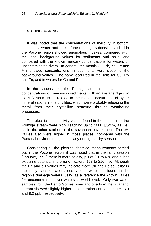#### **5. CONCLUSIONS**

It was noted that the concentrations of mercury in bottom sediments, water and soils of the drainage subbasins studied in the Poconé region showed anomalous indexes, compared with the local background values for sediments and soils, and compared with the known mercury concentrations for waters of uncontaminated rivers. In general, the metals Cu, Pb, Zn, Fe and Mn showed concentrations in sediments very close to the background values. The same occurred in the soils for Cu, Pb and Zn, and in waters for Cu and Pb.

In the subbasin of the Formiga stream, the anomalous concentrations of mercury in sediments, with an average "Igeo" in class 3, seem to be related to the marked occurrence of pyrite mineralizations in the phyllites, which were probably releasing the metal from their crystalline structure through weathering processes.

The electrical conductivity values found in the subbasin of the Formiga stream were high, reaching up to 1000 μS/cm, as well as in the other stations in the savannah environment. The pH values also were higher in those places, compared with the Pantanal environments, particularly during the dry season.

Considering all the physical-chemical measurements carried out in the Poconé region, it was noted that in the rainy season (January, 1992) there is more acidity, pH of 6.1 to 6.9, and a less oxidizing potential in the runoff waters, 163 to 210 mV. Although the Eh and pH values may indicate more Cu and Pb solubility in the rainy season, anomalous values were not found in the region's drainage waters, using as a reference the known values for uncontaminated river waters at world level. Only two water samples from the Bento Gomes River and one from the Guanandi stream showed slightly higher concentrations of copper, 1.5, 3.9 and 9.2 ppb, respectively.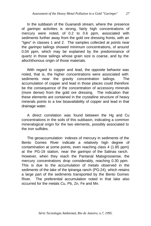In the subbasin of the Guanandi stream, where the presence of *garimpo* activities is strong, fairly high concentrations of mercury were noted, of 0.2 to 0.6 ppm, associated with sediments further away from the gold ore dressing fronts, with an "Igeo" in classes 1 and 2. The samples collected at points near the *garimpo* tailings showed minimum concentrations, of around 0.04 ppm, which may be explained by the predominance of quartz in those tailings whose grain size is coarse, and by the allochthonous origin of those materials.

With regard to copper and lead, the opposite behavior was noted, that is, the higher concentrations were associated with sediments near the gravity concentration tailings. The accumulation of copper and lead in those places could therefore be the consequence of the concentration of accessory minerals (more dense) from the gold ore dressing. The indication that these elements are contained in the crystalline structure of heavy minerals points to a low bioavailability of copper and lead in that drainage water.

A direct correlation was found between the Hg and Cu concentrations in the soils of this subbasin, indicating a common mineralogical origin for the two elements, possibly associated to the iron sulfides.

The geoaccumulation indexes of mercury in sediments of the Bento Gomes River indicate a relatively high degree of contamination at some points, even reaching class 4 (1.85 ppm) at the PG-19 station, near the *garimpo* of the Salinas ranch. However, when they reach the Pantanal Matogrossense, the mercury concentrations drop considerably, reaching 0.30 ppm. This is due to the accumulation of metals observed in the sediments of the lake of the Ipiranga ranch (PG-24), which retains a large part of the sediments transported by the Bento Gomes River. The preferential accumulation noted in that lake also occurred for the metals Cu, Pb, Zn, Fe and Mn.

*Série Tecnologia Ambiental, Rio de Janeiro, n.7, 1995.*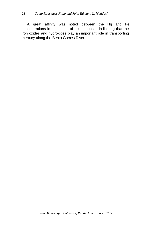#### *28 Saulo Rodrigues Filho and John Edmund L. Maddock*

A great affinity was noted between the Hg and Fe concentrations in sediments of this subbasin, indicating that the iron oxides and hydroxides play an important role in transporting mercury along the Bento Gomes River.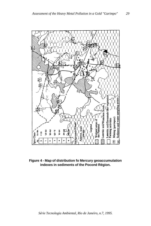

**Figure 4 - Map of distribution fo Mercury geoaccumulation indexes in sediments of the Poconé Région.**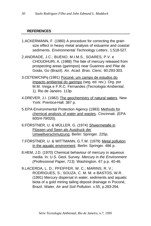#### **REFERENCES**

- 1.ACKERMANN, F. (1980) A procedure for correcting the grain size effect in heavy metal analysis of estuarine and coastal sediments. *Environmental Technology Letters*. 1:518-527.
- 2.ANDRADE, J.C.; BUENO, M.I.M.S., SOARES, P.V. e CHOUDHURI, A. (1988) The fate of mercury released from prospecting areas (garimpos) near Guarinos and Pilar de Goiás, Go (Brazil). *An. Acad. Bras. Cienc.* 60:293-303.
- 3.CETEM/CNPq (1991) Poconé: um campo de estudos do impacto ambiental do garimpo (seg. ed. rev.). Org. por M.M. Veiga e F.R.C. Fernandes (*Tecnologia Ambiental*, 1). Rio de Janeiro. 113p.
- 4.DREVER, J.I. (1982) The geochemistry of natural waters. New York: Prentice-Hall. 387 p.
- 5.EPA-Environmental Protection Agency (1983) Methods for chemical analysis of water and wastes. Cincinnati. (EPA 600/4-79/020).
- 6.FÖRSTNER, U. & MÜLLER, G. (1974) Shwermetalle in Flüssen und Seen als Ausdruck der Umweltverschmutzung. Berlin: Springer. 225p.
- 7.FÖRSTNER, U. & WITTMANN, G.T.W. (1979) Metal pollution in the aquatic environment. Berlin: Springer. 486 p.
- 8.HEM, J.D. (1970) Chemical behaviour of mercury in aqueous media. In: U.S. Geol. Survey. *Mercury in the Environment (Professional Paper, 713)*. Washington. 67 p.p. 40-46.
- 9.LACERDA, L. D.; PFEIFFER, W. C.; MARINS, R. V.; RODRIGUES, S.; SOUZA, C. M. M. e BASTOS, W.R. (1991) Mercury dispersal in water, sediments and aquatic biota of a gold mining tailing deposit drainage in Poconé, Brazil. *Water, Air and Soil Pollution*. v.55, p.283-294.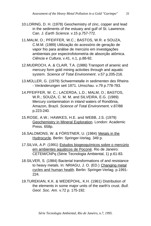- 10.LORING, D. H. (1978) Geochemistry of zinc, copper and lead in the sediments of the estuary and gulf of St. Lawrence. Can. J. *Earth Science*. v.15 p.757-772.
- 11.MALM, O.; PFEIFFER, W.C.; BASTOS, W.R. e SOUZA, C.M.M. (1989) Utilização do acessório de geração de vapor frio para análise de mercúrio em investigações ambientais por espectrofotometria de absorção atômica. *Ciência e Cultura*, v.41, n.1, p.88-92.
- 12.MUDROCH, A. & CLAIR, T.A. (1986) Transport of arsenic and mercury form gold mining activities through and aquatic system. *Science of Total Environment*. v.57 p.205-216.
- 13.MÜLLER, G. (1979) Schwermetalle in sedimenten des Rheins - Veränderungen seit 1971. *Umschau*. v.79 p.778-783.
- 14.PFEIFFER, W. C.; LACERDA, L.D.; MALM, O.; BASTOS, W.R.; SOUZA, C. M. M. and SILVEIRA, E.G. (1989) Mercury contamination in inland waters of Rondônia, Amazon, Brazil. *Science of Total Environmen*t. v.87/88 p.223-240.
- 15.ROSE, A.W.; HAWKES, H.E. and WEBB, J.S. (1979) Geochemistry in Mineral Exploration. London: Academic Press. 658p.
- 16.SALOMONS, W. & FÖRSTNER, U. (1984) Metals in the Hydrocycle. Berlin: Springer-Verlag. 349 p.
- 17.SILVA, A.P. (1991) Estudos biogeoquímicos sobre o mercúrio em ambientes aquáticos de Poconé. Rio de Janeiro: CETEM/CNPq (Série Tecnologia Ambiental, 1) p.61-83.
- 18.SILVER, S. (1984) Bacterial transformations of and resistance to heavy metals. In: NRIAGU, J. O. (ED.) Changing metal cycles and human health. Berlin: Springer-Verlag. p.1991- 224.
- 19.TUREKIAN, K.K. & WEDEPOHL, K.H. (1961) Distribution of the elements in some major units of the earth's crust. *Bull. Geol. Soc. Am.* v.72 p. 175-192.